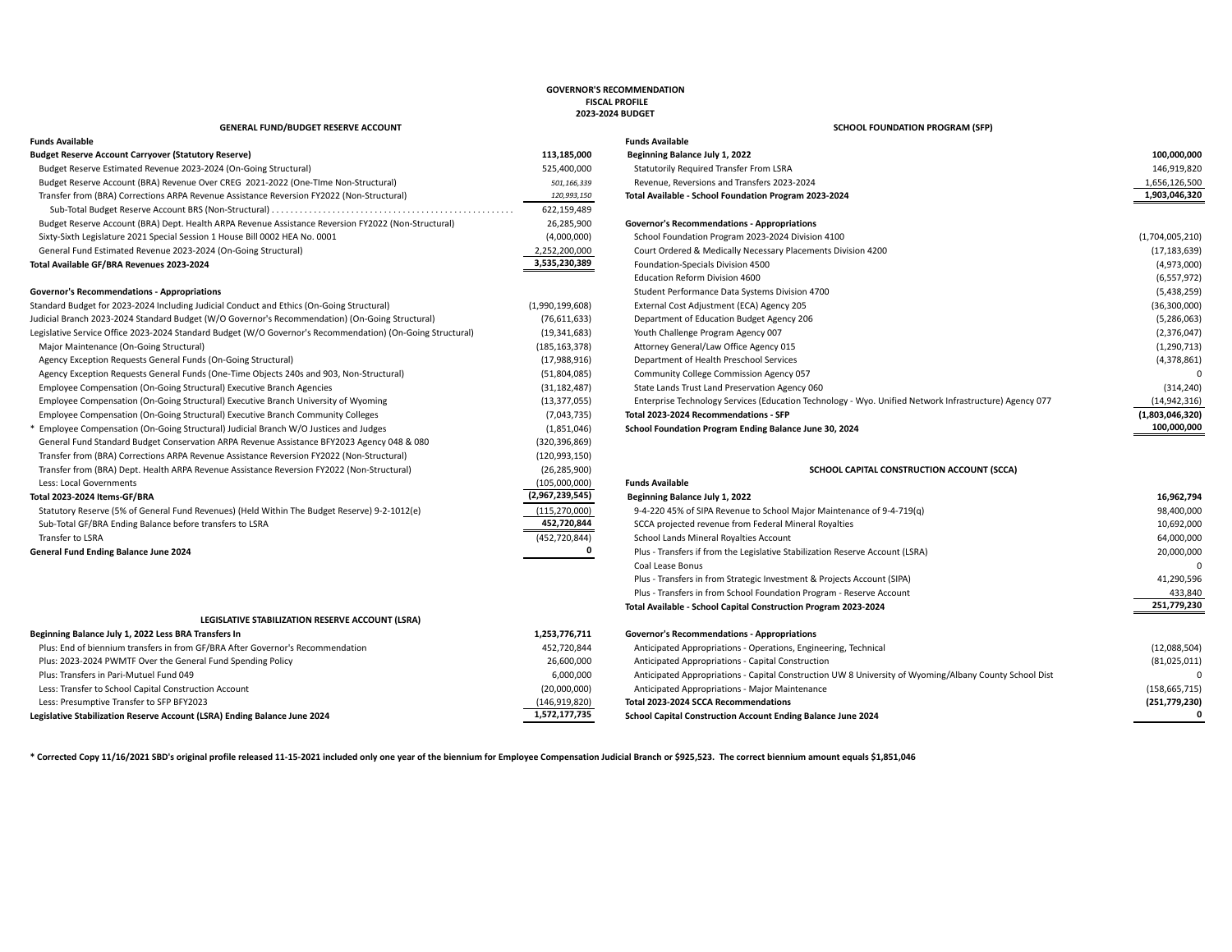### **GOVERNOR'S RECOMMENDATION FISCAL PROFILE 2023-2024 BUDGET**

## **GENERAL FUND/BUDGET RESERVE ACCOUNT SCHOOL FOUNDATION PROGRAM (SFP)**

| <b>Funds Available</b>                                                                                     |                 | <b>Funds Available</b>                               |
|------------------------------------------------------------------------------------------------------------|-----------------|------------------------------------------------------|
| <b>Budget Reserve Account Carryover (Statutory Reserve)</b>                                                | 113,185,000     | Beginning Balance July 1, 2022                       |
| Budget Reserve Estimated Revenue 2023-2024 (On-Going Structural)                                           | 525,400,000     | Statutorily Required Transfer From LSRA              |
| Budget Reserve Account (BRA) Revenue Over CREG 2021-2022 (One-Time Non-Structural)                         | 501,166,339     | Revenue, Reversions and Transfers 2023-2024          |
| Transfer from (BRA) Corrections ARPA Revenue Assistance Reversion FY2022 (Non-Structural)                  | 120,993,150     | Total Available - School Foundation Program 202      |
|                                                                                                            | 622,159,489     |                                                      |
| Budget Reserve Account (BRA) Dept. Health ARPA Revenue Assistance Reversion FY2022 (Non-Structural)        | 26,285,900      | <b>Governor's Recommendations - Appropriations</b>   |
| Sixty-Sixth Legislature 2021 Special Session 1 House Bill 0002 HEA No. 0001                                | (4,000,000)     | School Foundation Program 2023-2024 Division         |
| General Fund Estimated Revenue 2023-2024 (On-Going Structural)                                             | 2,252,200,000   | Court Ordered & Medically Necessary Placemer         |
| Total Available GF/BRA Revenues 2023-2024                                                                  | 3,535,230,389   | Foundation-Specials Division 4500                    |
|                                                                                                            |                 | <b>Education Reform Division 4600</b>                |
| <b>Governor's Recommendations - Appropriations</b>                                                         |                 | Student Performance Data Systems Division 47         |
| Standard Budget for 2023-2024 Including Judicial Conduct and Ethics (On-Going Structural)                  | (1,990,199,608) | External Cost Adjustment (ECA) Agency 205            |
| Judicial Branch 2023-2024 Standard Budget (W/O Governor's Recommendation) (On-Going Structural)            | (76,611,633)    | Department of Education Budget Agency 206            |
| Legislative Service Office 2023-2024 Standard Budget (W/O Governor's Recommendation) (On-Going Structural) | (19, 341, 683)  | Youth Challenge Program Agency 007                   |
| Major Maintenance (On-Going Structural)                                                                    | (185, 163, 378) | Attorney General/Law Office Agency 015               |
| Agency Exception Requests General Funds (On-Going Structural)                                              | (17,988,916)    | Department of Health Preschool Services              |
| Agency Exception Requests General Funds (One-Time Objects 240s and 903, Non-Structural)                    | (51,804,085)    | Community College Commission Agency 057              |
| Employee Compensation (On-Going Structural) Executive Branch Agencies                                      | (31, 182, 487)  | State Lands Trust Land Preservation Agency 060       |
| Employee Compensation (On-Going Structural) Executive Branch University of Wyoming                         | (13, 377, 055)  | Enterprise Technology Services (Education Tech       |
| Employee Compensation (On-Going Structural) Executive Branch Community Colleges                            | (7,043,735)     | Total 2023-2024 Recommendations - SFP                |
| * Employee Compensation (On-Going Structural) Judicial Branch W/O Justices and Judges                      | (1,851,046)     | School Foundation Program Ending Balance June        |
| General Fund Standard Budget Conservation ARPA Revenue Assistance BFY2023 Agency 048 & 080                 | (320, 396, 869) |                                                      |
| Transfer from (BRA) Corrections ARPA Revenue Assistance Reversion FY2022 (Non-Structural)                  | (120, 993, 150) |                                                      |
| Transfer from (BRA) Dept. Health ARPA Revenue Assistance Reversion FY2022 (Non-Structural)                 | (26, 285, 900)  | SC                                                   |
| Less: Local Governments                                                                                    | (105,000,000)   | <b>Funds Available</b>                               |
| Total 2023-2024 Items-GF/BRA                                                                               | (2,967,239,545) | Beginning Balance July 1, 2022                       |
| Statutory Reserve (5% of General Fund Revenues) (Held Within The Budget Reserve) 9-2-1012(e)               | (115, 270, 000) | 9-4-220 45% of SIPA Revenue to School Major I        |
| Sub-Total GF/BRA Ending Balance before transfers to LSRA                                                   | 452,720,844     | SCCA projected revenue from Federal Mineral F        |
| Transfer to LSRA                                                                                           | (452, 720, 844) | School Lands Mineral Royalties Account               |
| General Fund Ending Balance June 2024                                                                      |                 | Plus - Transfers if from the Legislative Stabilizati |
|                                                                                                            |                 | Coal Lease Bonus                                     |
|                                                                                                            |                 |                                                      |

### **LEGISLATIVE STABILIZATION RESERVE ACCOUNT (LSRA)**

| Beginning Balance July 1, 2022 Less BRA Transfers In                           | 1,253,776,711 | Governor's Recommendations - Appropriations                                                            |                 |
|--------------------------------------------------------------------------------|---------------|--------------------------------------------------------------------------------------------------------|-----------------|
| Plus: End of biennium transfers in from GF/BRA After Governor's Recommendation | 452,720,844   | Anticipated Appropriations - Operations, Engineering, Technical                                        | (12,088,504)    |
| Plus: 2023-2024 PWMTF Over the General Fund Spending Policy                    | 26,600,000    | Anticipated Appropriations - Capital Construction                                                      | (81,025,011)    |
| Plus: Transfers in Pari-Mutuel Fund 049                                        | 6,000,000     | Anticipated Appropriations - Capital Construction UW 8 University of Wyoming/Albany County School Dist |                 |
| Less: Transfer to School Capital Construction Account                          | (20,000,000)  | Anticipated Appropriations - Major Maintenance                                                         | (158, 665, 715) |
| Less: Presumptive Transfer to SFP BFY2023                                      | (146,919,820) | Total 2023-2024 SCCA Recommendations                                                                   | (251,779,230)   |
| Legislative Stabilization Reserve Account (LSRA) Ending Balance June 2024      | 1,572,177,735 | <b>School Capital Construction Account Ending Balance June 2024</b>                                    |                 |

| runus Avanable                                                                                             |                 | Funus Avanable                                                                                         |                 |
|------------------------------------------------------------------------------------------------------------|-----------------|--------------------------------------------------------------------------------------------------------|-----------------|
| Budget Reserve Account Carryover (Statutory Reserve)                                                       | 113,185,000     | Beginning Balance July 1, 2022                                                                         | 100,000,000     |
| Budget Reserve Estimated Revenue 2023-2024 (On-Going Structural)                                           | 525,400,000     | Statutorily Required Transfer From LSRA                                                                | 146,919,820     |
| Budget Reserve Account (BRA) Revenue Over CREG 2021-2022 (One-Time Non-Structural)                         | 501,166,339     | Revenue, Reversions and Transfers 2023-2024                                                            | 1,656,126,500   |
| Transfer from (BRA) Corrections ARPA Revenue Assistance Reversion FY2022 (Non-Structural)                  | 120,993,150     | Total Available - School Foundation Program 2023-2024                                                  | 1,903,046,320   |
|                                                                                                            | 622,159,489     |                                                                                                        |                 |
| Budget Reserve Account (BRA) Dept. Health ARPA Revenue Assistance Reversion FY2022 (Non-Structural)        | 26,285,900      | Governor's Recommendations - Appropriations                                                            |                 |
| Sixty-Sixth Legislature 2021 Special Session 1 House Bill 0002 HEA No. 0001                                | (4,000,000)     | School Foundation Program 2023-2024 Division 4100                                                      | (1,704,005,210) |
| General Fund Estimated Revenue 2023-2024 (On-Going Structural)                                             | 2,252,200,000   | Court Ordered & Medically Necessary Placements Division 4200                                           | (17, 183, 639)  |
| Total Available GF/BRA Revenues 2023-2024                                                                  | 3,535,230,389   | Foundation-Specials Division 4500                                                                      | (4,973,000)     |
|                                                                                                            |                 | <b>Education Reform Division 4600</b>                                                                  | (6, 557, 972)   |
| <b>Governor's Recommendations - Appropriations</b>                                                         |                 | Student Performance Data Systems Division 4700                                                         | (5,438,259)     |
| Standard Budget for 2023-2024 Including Judicial Conduct and Ethics (On-Going Structural)                  | (1,990,199,608) | External Cost Adjustment (ECA) Agency 205                                                              | (36,300,000)    |
| Judicial Branch 2023-2024 Standard Budget (W/O Governor's Recommendation) (On-Going Structural)            | (76,611,633)    | Department of Education Budget Agency 206                                                              | (5,286,063)     |
| Legislative Service Office 2023-2024 Standard Budget (W/O Governor's Recommendation) (On-Going Structural) | (19, 341, 683)  | Youth Challenge Program Agency 007                                                                     | (2,376,047)     |
| Major Maintenance (On-Going Structural)                                                                    | (185, 163, 378) | Attorney General/Law Office Agency 015                                                                 | (1, 290, 713)   |
| Agency Exception Requests General Funds (On-Going Structural)                                              | (17,988,916)    | Department of Health Preschool Services                                                                | (4,378,861)     |
| Agency Exception Requests General Funds (One-Time Objects 240s and 903, Non-Structural)                    | (51,804,085)    | Community College Commission Agency 057                                                                |                 |
| Employee Compensation (On-Going Structural) Executive Branch Agencies                                      | (31, 182, 487)  | State Lands Trust Land Preservation Agency 060                                                         | (314, 240)      |
| Employee Compensation (On-Going Structural) Executive Branch University of Wyoming                         | (13, 377, 055)  | Enterprise Technology Services (Education Technology - Wyo. Unified Network Infrastructure) Agency 077 | (14, 942, 316)  |
| Employee Compensation (On-Going Structural) Executive Branch Community Colleges                            | (7,043,735)     | Total 2023-2024 Recommendations - SFP                                                                  | (1,803,046,320) |
| Employee Compensation (On-Going Structural) Judicial Branch W/O Justices and Judges                        | (1,851,046)     | School Foundation Program Ending Balance June 30, 2024                                                 | 100,000,000     |
| General Fund Standard Budget Conservation ARPA Revenue Assistance BFY2023 Agency 048 & 080                 | (320, 396, 869) |                                                                                                        |                 |

Transfer from **Europe Area Reversion From Capital ARPA Reversion FRANCE ARPA REVERSION FOR ASSISTANCE REVERSION ACCOUNT (SCCA) SCHOOL CAPITAL CONSTRUCTION ACCOUNT (SCCA)** 

| (105,000,000)   | <b>Funds Available</b>                                                                                 |                 |
|-----------------|--------------------------------------------------------------------------------------------------------|-----------------|
| (2,967,239,545) | Beginning Balance July 1, 2022                                                                         | 16,962,794      |
| (115, 270, 000) | 9-4-220 45% of SIPA Revenue to School Major Maintenance of 9-4-719(q)                                  | 98,400,000      |
| 452,720,844     | SCCA projected revenue from Federal Mineral Royalties                                                  | 10,692,000      |
| (452, 720, 844) | School Lands Mineral Royalties Account                                                                 | 64,000,000      |
|                 | Plus - Transfers if from the Legislative Stabilization Reserve Account (LSRA)                          | 20,000,000      |
|                 | Coal Lease Bonus                                                                                       |                 |
|                 | Plus - Transfers in from Strategic Investment & Projects Account (SIPA)                                | 41,290,596      |
|                 | Plus - Transfers in from School Foundation Program - Reserve Account                                   | 433,840         |
|                 | Total Available - School Capital Construction Program 2023-2024                                        | 251,779,230     |
|                 |                                                                                                        |                 |
| 1,253,776,711   | Governor's Recommendations - Appropriations                                                            |                 |
| 452,720,844     | Anticipated Appropriations - Operations, Engineering, Technical                                        | (12,088,504)    |
| 26,600,000      | Anticipated Appropriations - Capital Construction                                                      | (81,025,011)    |
| 6,000,000       | Anticipated Appropriations - Capital Construction UW 8 University of Wyoming/Albany County School Dist |                 |
| (20,000,000)    | Anticipated Appropriations - Major Maintenance                                                         | (158, 665, 715) |
| (146, 919, 820) | Total 2023-2024 SCCA Recommendations                                                                   | (251, 779, 230) |
| 1,572,177,735   | School Capital Construction Account Ending Balance June 2024                                           |                 |
|                 |                                                                                                        |                 |

**\* Corrected Copy 11/16/2021 SBD's original profile released 11-15-2021 included only one year of the biennium for Employee Compensation Judicial Branch or \$925,523. The correct biennium amount equals \$1,851,046**